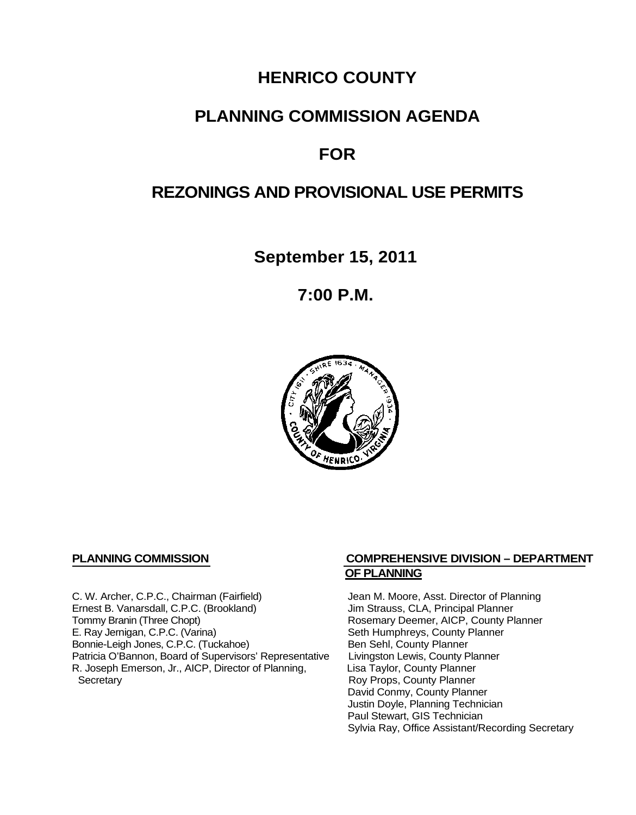## **HENRICO COUNTY**

## **PLANNING COMMISSION AGENDA**

# **FOR**

## **REZONINGS AND PROVISIONAL USE PERMITS**

**September 15, 2011**

**7:00 P.M.**



C. W. Archer, C.P.C., Chairman (Fairfield) Jean M. Moore, Asst. Director of Planning<br>
Ernest B. Vanarsdall, C.P.C. (Brookland) Jim Strauss, CLA, Principal Planner Ernest B. Vanarsdall, C.P.C. (Brookland)<br>Tommy Branin (Three Chopt) Tommy Branin (Three Chopt)<br>
E. Ray Jernigan, C.P.C. (Varina) Seth Humphreys, County Planner E. Ray Jernigan, C.P.C. (Varina) Bonnie-Leigh Jones, C.P.C. (Tuckahoe) Ben Sehl, County Planner<br>Patricia O'Bannon, Board of Supervisors' Representative Livingston Lewis, County Planner Patricia O'Bannon, Board of Supervisors' Representative Livingston Lewis, County Planner<br>R. Joseph Emerson, Jr., AICP, Director of Planning, Lisa Taylor, County Planner R. Joseph Emerson, Jr., AICP, Director of Planning, Secretary

#### **PLANNING COMMISSION COMPREHENSIVE DIVISION – DEPARTMENT OF PLANNING**

Seth Humphreys, County Planner<br>Ben Sehl, County Planner Roy Props, County Planner David Conmy, County Planner Justin Doyle, Planning Technician Paul Stewart, GIS Technician Sylvia Ray, Office Assistant/Recording Secretary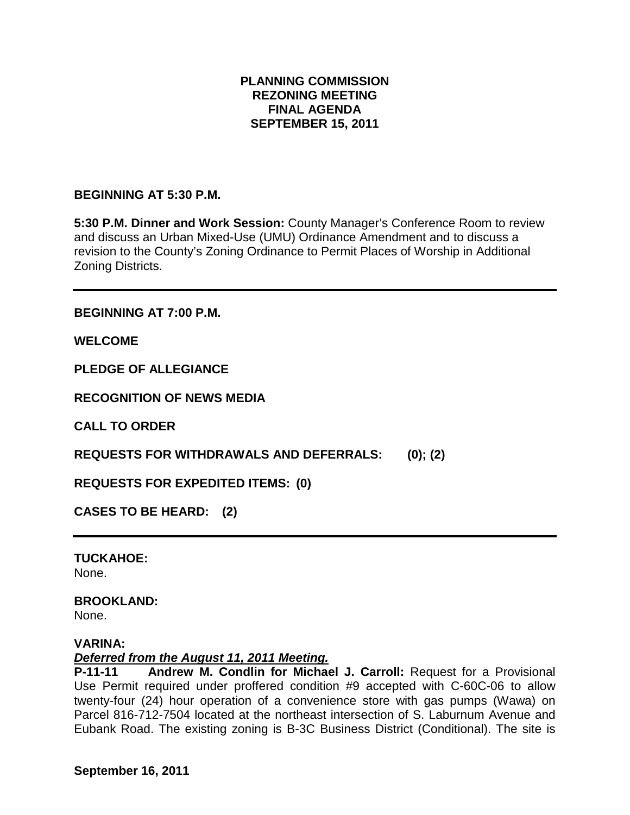### **PLANNING COMMISSION REZONING MEETING FINAL AGENDA SEPTEMBER 15, 2011**

### **BEGINNING AT 5:30 P.M.**

**5:30 P.M. Dinner and Work Session:** County Manager's Conference Room to review and discuss an Urban Mixed-Use (UMU) Ordinance Amendment and to discuss a revision to the County's Zoning Ordinance to Permit Places of Worship in Additional Zoning Districts.

**BEGINNING AT 7:00 P.M.**

**WELCOME**

**PLEDGE OF ALLEGIANCE**

**RECOGNITION OF NEWS MEDIA**

**CALL TO ORDER**

**REQUESTS FOR WITHDRAWALS AND DEFERRALS: (0); (2)**

**REQUESTS FOR EXPEDITED ITEMS: (0)**

**CASES TO BE HEARD: (2)**

**TUCKAHOE:** None.

## **BROOKLAND:**

None.

#### **VARINA:**

#### *Deferred from the August 11, 2011 Meeting.*

**P-11-11 Andrew M. Condlin for Michael J. Carroll:** Request for a Provisional Use Permit required under proffered condition #9 accepted with C-60C-06 to allow twenty-four (24) hour operation of a convenience store with gas pumps (Wawa) on Parcel 816-712-7504 located at the northeast intersection of S. Laburnum Avenue and Eubank Road. The existing zoning is B-3C Business District (Conditional). The site is

**September 16, 2011**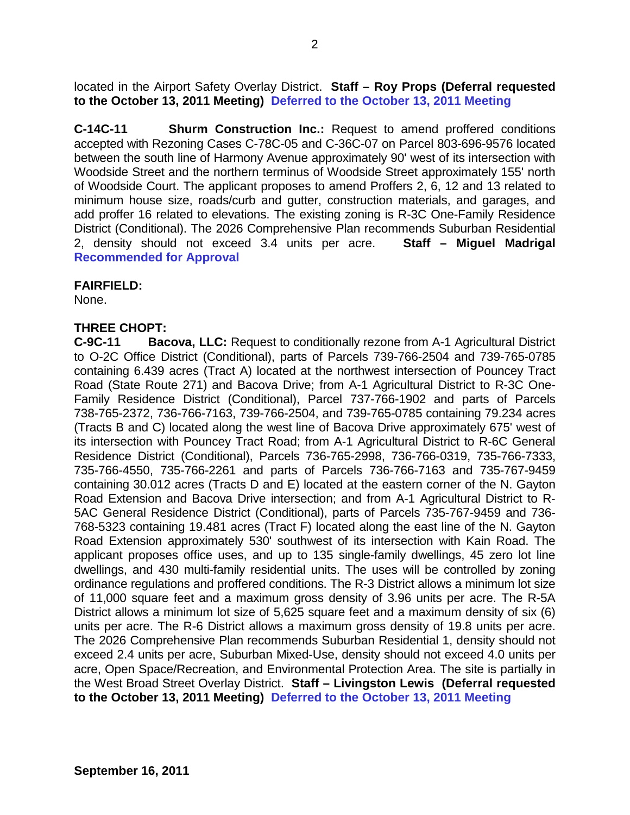located in the Airport Safety Overlay District. **Staff – Roy Props (Deferral requested to the October 13, 2011 Meeting) Deferred to the October 13, 2011 Meeting**

**C-14C-11 Shurm Construction Inc.:** Request to amend proffered conditions accepted with Rezoning Cases C-78C-05 and C-36C-07 on Parcel 803-696-9576 located between the south line of Harmony Avenue approximately 90' west of its intersection with Woodside Street and the northern terminus of Woodside Street approximately 155' north of Woodside Court. The applicant proposes to amend Proffers 2, 6, 12 and 13 related to minimum house size, roads/curb and gutter, construction materials, and garages, and add proffer 16 related to elevations. The existing zoning is R-3C One-Family Residence District (Conditional). The 2026 Comprehensive Plan recommends Suburban Residential 2, density should not exceed 3.4 units per acre. **Staff – Miguel Madrigal Recommended for Approval**

#### **FAIRFIELD:**

None.

### **THREE CHOPT:**

**C-9C-11 Bacova, LLC:** Request to conditionally rezone from A-1 Agricultural District to O-2C Office District (Conditional), parts of Parcels 739-766-2504 and 739-765-0785 containing 6.439 acres (Tract A) located at the northwest intersection of Pouncey Tract Road (State Route 271) and Bacova Drive; from A-1 Agricultural District to R-3C One-Family Residence District (Conditional), Parcel 737-766-1902 and parts of Parcels 738-765-2372, 736-766-7163, 739-766-2504, and 739-765-0785 containing 79.234 acres (Tracts B and C) located along the west line of Bacova Drive approximately 675' west of its intersection with Pouncey Tract Road; from A-1 Agricultural District to R-6C General Residence District (Conditional), Parcels 736-765-2998, 736-766-0319, 735-766-7333, 735-766-4550, 735-766-2261 and parts of Parcels 736-766-7163 and 735-767-9459 containing 30.012 acres (Tracts D and E) located at the eastern corner of the N. Gayton Road Extension and Bacova Drive intersection; and from A-1 Agricultural District to R-5AC General Residence District (Conditional), parts of Parcels 735-767-9459 and 736- 768-5323 containing 19.481 acres (Tract F) located along the east line of the N. Gayton Road Extension approximately 530' southwest of its intersection with Kain Road. The applicant proposes office uses, and up to 135 single-family dwellings, 45 zero lot line dwellings, and 430 multi-family residential units. The uses will be controlled by zoning ordinance regulations and proffered conditions. The R-3 District allows a minimum lot size of 11,000 square feet and a maximum gross density of 3.96 units per acre. The R-5A District allows a minimum lot size of 5,625 square feet and a maximum density of six (6) units per acre. The R-6 District allows a maximum gross density of 19.8 units per acre. The 2026 Comprehensive Plan recommends Suburban Residential 1, density should not exceed 2.4 units per acre, Suburban Mixed-Use, density should not exceed 4.0 units per acre, Open Space/Recreation, and Environmental Protection Area. The site is partially in the West Broad Street Overlay District. **Staff – Livingston Lewis (Deferral requested to the October 13, 2011 Meeting) Deferred to the October 13, 2011 Meeting**